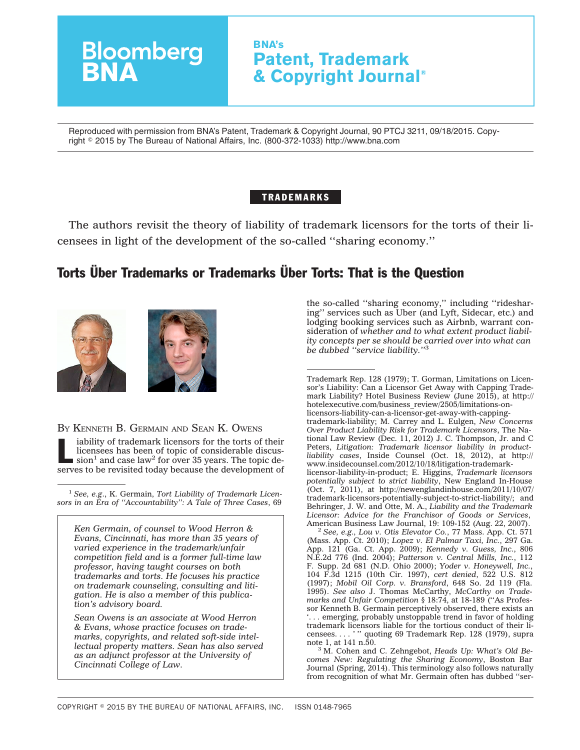# **Bloomberg**<br>**BNA BNA's Patent, Trademark & Copyright Journal®**

Reproduced with permission from BNA's Patent, Trademark & Copyright Journal, 90 PTCJ 3211, 09/18/2015. Copyright - 2015 by The Bureau of National Affairs, Inc. (800-372-1033) http://www.bna.com

# TRADEMARKS

The authors revisit the theory of liability of trademark licensors for the torts of their licensees in light of the development of the so-called ''sharing economy.''

# Torts Über Trademarks or Trademarks Über Torts: That is the Question



BY KENNETH B. GERMAIN AND SEAN K. OWENS

liability of trademark licensors for the torts of their<br>licensees has been of topic of considerable discus-<br>sion<sup>1</sup> and case law<sup>2</sup> for over 35 years. The topic de-<br>segments be provided. licensees has been of topic of considerable discusserves to be revisited today because the development of

<sup>1</sup> *See, e.g*., K. Germain, *Tort Liability of Trademark Licensors in an Era of ''Accountability'': A Tale of Three Cases*, 69

*Ken Germain, of counsel to Wood Herron & Evans, Cincinnati, has more than 35 years of varied experience in the trademark/unfair competition field and is a former full-time law professor, having taught courses on both trademarks and torts. He focuses his practice on trademark counseling, consulting and litigation. He is also a member of this publication's advisory board.*

*Sean Owens is an associate at Wood Herron & Evans, whose practice focuses on trademarks, copyrights, and related soft-side intellectual property matters. Sean has also served as an adjunct professor at the University of Cincinnati College of Law.*

the so-called ''sharing economy,'' including ''ridesharing'' services such as Uber (and Lyft, Sidecar, etc.) and lodging booking services such as Airbnb, warrant consideration of *whether and to what extent product liability concepts per se should be carried over into what can be dubbed ''service liability.''*<sup>3</sup>

Trademark Rep. 128 (1979); T. Gorman, Limitations on Licensor's Liability: Can a Licensor Get Away with Capping Trademark Liability? Hotel Business Review (June 2015), at [http://](http://hotelexecutive.com/business_review/2505/limitations-on-licensors-liability-can-a-licensor-get-away-with-capping-trademark-liability) [hotelexecutive.com/business\\_review/2505/limitations-on](http://hotelexecutive.com/business_review/2505/limitations-on-licensors-liability-can-a-licensor-get-away-with-capping-trademark-liability)[licensors-liability-can-a-licensor-get-away-with-capping](http://hotelexecutive.com/business_review/2505/limitations-on-licensors-liability-can-a-licensor-get-away-with-capping-trademark-liability)[trademark-liability;](http://hotelexecutive.com/business_review/2505/limitations-on-licensors-liability-can-a-licensor-get-away-with-capping-trademark-liability) M. Carrey and L. Eulgen, *New Concerns Over Product Liability Risk for Trademark Licensors*, The National Law Review (Dec. 11, 2012) J. C. Thompson, Jr. and C Peters, *Litigation: Trademark licensor liability in productliability cases*, Inside Counsel (Oct. 18, 2012), at [http://](http://www.insidecounsel.com/2012/10/18/litigation-trademark-licensor-liability-in-product) [www.insidecounsel.com/2012/10/18/litigation-trademark](http://www.insidecounsel.com/2012/10/18/litigation-trademark-licensor-liability-in-product)[licensor-liability-in-product;](http://www.insidecounsel.com/2012/10/18/litigation-trademark-licensor-liability-in-product) E. Higgins, *Trademark licensors potentially subject to strict liability*, New England In-House (Oct. 7, 2011), at [http://newenglandinhouse.com/2011/10/07/](http://newenglandinhouse.com/2011/10/07/trademark-licensors-potentially-subject-to-strict-liability/) [trademark-licensors-potentially-subject-to-strict-liability/;](http://newenglandinhouse.com/2011/10/07/trademark-licensors-potentially-subject-to-strict-liability/) and Behringer, J. W. and Otte, M. A., *Liability and the Trademark Licensor: Advice for the Franchisor of Goods or Services*,

American Business Law Journal, 19: 109-152 (Aug. 22, 2007). <sup>2</sup> *See, e.g., Lou v. Otis Elevator Co.*, 77 Mass. App. Ct. 571 (Mass. App. Ct. 2010); *Lopez v. El Palmar Taxi, Inc.*, 297 Ga. App. 121 (Ga. Ct. App. 2009); *Kennedy v. Guess, Inc.*, 806 N.E.2d 776 (Ind. 2004); *Patterson v. Central Mills, Inc.*, 112 F. Supp. 2d 681 (N.D. Ohio 2000); *Yoder v. Honeywell, Inc.*, 104 F.3d 1215 (10th Cir. 1997), *cert denied*, 522 U.S. 812 (1997); *Mobil Oil Corp. v. Bransford*, 648 So. 2d 119 (Fla. 1995). *See also* J. Thomas McCarthy, *McCarthy on Trademarks and Unfair Competition* § 18:74, at 18-189 (''As Professor Kenneth B. Germain perceptively observed, there exists an '. . . emerging, probably unstoppable trend in favor of holding trademark licensors liable for the tortious conduct of their licensees. . . . '" quoting 69 Trademark Rep. 128 (1979), supra note 1, at 141 n.50.

<sup>3</sup> M. Cohen and C. Zehngebot, *Heads Up: What's Old Becomes New: Regulating the Sharing Economy*, Boston Bar Journal (Spring, 2014). This terminology also follows naturally from recognition of what Mr. Germain often has dubbed ''ser-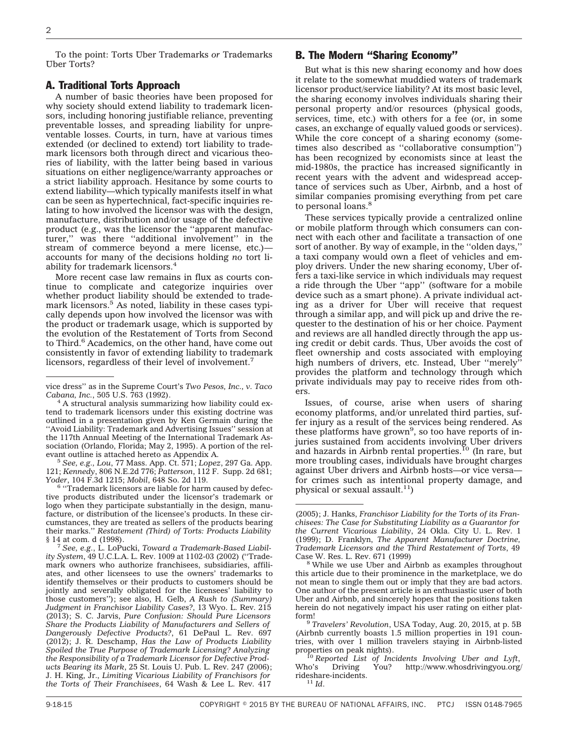To the point: Torts Uber Trademarks or Trademarks Uber Torts?

#### A. Traditional Torts Approach

A number of basic theories have been proposed for why society should extend liability to trademark licensors, including honoring justifiable reliance, preventing preventable losses, and spreading liability for unpreventable losses. Courts, in turn, have at various times extended (or declined to extend) tort liability to trademark licensors both through direct and vicarious theories of liability, with the latter being based in various situations on either negligence/warranty approaches or a strict liability approach. Hesitance by some courts to extend liability—which typically manifests itself in what can be seen as hypertechnical, fact-specific inquiries relating to how involved the licensor was with the design, manufacture, distribution and/or usage of the defective product (e.g., was the licensor the ''apparent manufacturer,'' was there ''additional involvement'' in the stream of commerce beyond a mere license, etc.) accounts for many of the decisions holding *no* tort liability for trademark licensors.4

More recent case law remains in flux as courts continue to complicate and categorize inquiries over whether product liability should be extended to trademark licensors.<sup>5</sup> As noted, liability in these cases typically depends upon how involved the licensor was with the product or trademark usage, which is supported by the evolution of the Restatement of Torts from Second to Third.<sup>6</sup> Academics, on the other hand, have come out consistently in favor of extending liability to trademark licensors, regardless of their level of involvement.<sup>7</sup>

evant outline is attached hereto as Appendix A. <sup>5</sup> *See, e.g., Lou*, 77 Mass. App. Ct. 571; *Lopez*, 297 Ga. App. 121; *Kennedy*, 806 N.E.2d 776; *Patterson*, 112 F. Supp. 2d 681;

<sup>6</sup> "Trademark licensors are liable for harm caused by defective products distributed under the licensor's trademark or logo when they participate substantially in the design, manufacture, or distribution of the licensee's products. In these circumstances, they are treated as sellers of the products bearing their marks.'' *Restatement (Third) of Torts: Products Liability*

<sup>7</sup> See, e.g., L. LoPucki, *Toward a Trademark-Based Liability System*, 49 U.C.L.A. L. Rev. 1009 at 1102-03 (2002) (''Trademark owners who authorize franchisees, subsidiaries, affiliates, and other licensees to use the owners' trademarks to identify themselves or their products to customers should be jointly and severally obligated for the licensees' liability to those customers''); see also, H. Gelb, *A Rush to (Summary) Judgment in Franchisor Liability Cases?*, 13 Wyo. L. Rev. 215 (2013); S. C. Jarvis, *Pure Confusion: Should Pure Licensors Share the Products Liability of Manufacturers and Sellers of Dangerously Defective Products?*, 61 DePaul L. Rev. 697 (2012); J. R. Deschamp, *Has the Law of Products Liability Spoiled the True Purpose of Trademark Licensing? Analyzing the Responsibility of a Trademark Licensor for Defective Products Bearing its Mark*, 25 St. Louis U. Pub. L. Rev. 247 (2006); J. H. King, Jr., *Limiting Vicarious Liability of Franchisors for the Torts of Their Franchisees*, 64 Wash & Lee L. Rev. 417

## B. The Modern ''Sharing Economy''

But what is this new sharing economy and how does it relate to the somewhat muddied waters of trademark licensor product/service liability? At its most basic level, the sharing economy involves individuals sharing their personal property and/or resources (physical goods, services, time, etc.) with others for a fee (or, in some cases, an exchange of equally valued goods or services). While the core concept of a sharing economy (sometimes also described as ''collaborative consumption'') has been recognized by economists since at least the mid-1980s, the practice has increased significantly in recent years with the advent and widespread acceptance of services such as Uber, Airbnb, and a host of similar companies promising everything from pet care to personal loans.<sup>8</sup>

These services typically provide a centralized online or mobile platform through which consumers can connect with each other and facilitate a transaction of one sort of another. By way of example, in the ''olden days,'' a taxi company would own a fleet of vehicles and employ drivers. Under the new sharing economy, Uber offers a taxi-like service in which individuals may request a ride through the Uber ''app'' (software for a mobile device such as a smart phone). A private individual acting as a driver for Uber will receive that request through a similar app, and will pick up and drive the requester to the destination of his or her choice. Payment and reviews are all handled directly through the app using credit or debit cards. Thus, Uber avoids the cost of fleet ownership and costs associated with employing high numbers of drivers, etc. Instead, Uber ''merely'' provides the platform and technology through which private individuals may pay to receive rides from others.

Issues, of course, arise when users of sharing economy platforms, and/or unrelated third parties, suffer injury as a result of the services being rendered. As these platforms have grown<sup>9</sup>, so too have reports of injuries sustained from accidents involving Uber drivers and hazards in Airbnb rental properties.<sup>10</sup> (In rare, but more troubling cases, individuals have brought charges against Uber drivers and Airbnb hosts—or vice versa for crimes such as intentional property damage, and physical or sexual assault.<sup>11</sup>)

vice dress'' as in the Supreme Court's *Two Pesos, Inc., v. Taco*

A structural analysis summarizing how liability could extend to trademark licensors under this existing doctrine was outlined in a presentation given by Ken Germain during the ''Avoid Liability: Trademark and Advertising Issues'' session at the 117th Annual Meeting of the International Trademark Association (Orlando, Florida; May 2, 1995). A portion of the rel-

<sup>(2005);</sup> J. Hanks, *Franchisor Liability for the Torts of its Franchisees: The Case for Substituting Liability as a Guarantor for the Current Vicarious Liability*, 24 Okla. City U. L. Rev. 1 (1999); D. Franklyn, *The Apparent Manufacturer Doctrine, Trademark Licensors and the Third Restatement of Torts*, 49

 $8$  While we use Uber and Airbnb as examples throughout this article due to their prominence in the marketplace, we do not mean to single them out or imply that they are bad actors. One author of the present article is an enthusiastic user of both Uber and Airbnb, and sincerely hopes that the positions taken herein do not negatively impact his user rating on either plat-

<sup>&</sup>lt;sup>9</sup> *Travelers' Revolution*, USA Today, Aug. 20, 2015, at p. 5B (Airbnb currently boasts 1.5 million properties in 191 countries, with over 1 million travelers staying in Airbnb-listed

properties on peak nights).<br><sup>10</sup> *Reported List of Incidents Involving Uber and Lyft*,<br>Who's Driving You? http://www.whosdrivingyou.org Who's Driving You? [http://www.whosdrivingyou.org/](http://www.whosdrivingyou.org/rideshare-incidents) [rideshare-incidents.](http://www.whosdrivingyou.org/rideshare-incidents) <sup>11</sup> *Id*.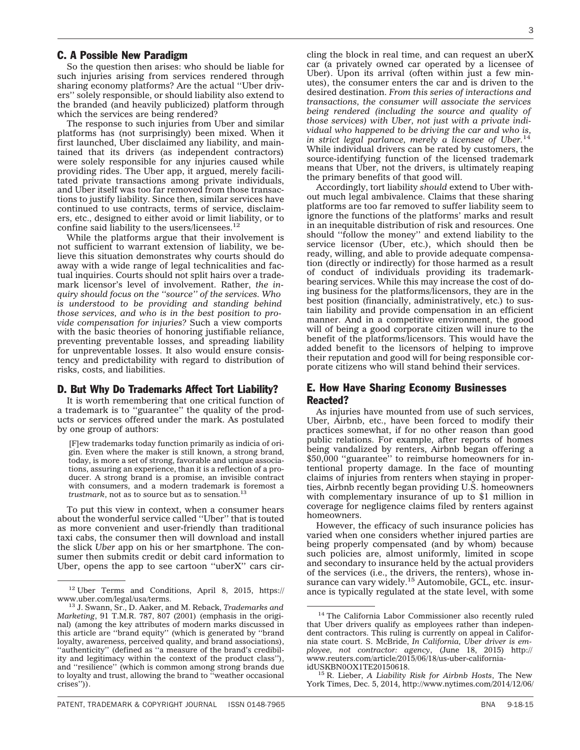#### C. A Possible New Paradigm

So the question then arises: who should be liable for such injuries arising from services rendered through sharing economy platforms? Are the actual ''Uber drivers'' solely responsible, or should liability also extend to the branded (and heavily publicized) platform through which the services are being rendered?

The response to such injuries from Uber and similar platforms has (not surprisingly) been mixed. When it first launched, Uber disclaimed any liability, and maintained that its drivers (as independent contractors) were solely responsible for any injuries caused while providing rides. The Uber app, it argued, merely facilitated private transactions among private individuals, and Uber itself was too far removed from those transactions to justify liability. Since then, similar services have continued to use contracts, terms of service, disclaimers, etc., designed to either avoid or limit liability, or to confine said liability to the users/licensees. $^{12}$ 

While the platforms argue that their involvement is not sufficient to warrant extension of liability, we believe this situation demonstrates why courts should do away with a wide range of legal technicalities and factual inquiries. Courts should not split hairs over a trademark licensor's level of involvement. Rather, *the inquiry should focus on the ''source'' of the services. Who is understood to be providing and standing behind those services, and who is in the best position to provide compensation for injuries?* Such a view comports with the basic theories of honoring justifiable reliance, preventing preventable losses, and spreading liability for unpreventable losses. It also would ensure consistency and predictability with regard to distribution of risks, costs, and liabilities.

#### D. But Why Do Trademarks Affect Tort Liability?

It is worth remembering that one critical function of a trademark is to ''guarantee'' the quality of the products or services offered under the mark. As postulated by one group of authors:

[F]ew trademarks today function primarily as indicia of origin. Even where the maker is still known, a strong brand, today, is more a set of strong, favorable and unique associations, assuring an experience, than it is a reflection of a producer. A strong brand is a promise, an invisible contract with consumers, and a modern trademark is foremost a *trustmark*, not as to source but as to sensation.<sup>1</sup>

To put this view in context, when a consumer hears about the wonderful service called ''Uber'' that is touted as more convenient and user-friendly than traditional taxi cabs, the consumer then will download and install the slick *Uber* app on his or her smartphone. The consumer then submits credit or debit card information to Uber, opens the app to see cartoon ''uberX'' cars cir3

cling the block in real time, and can request an uberX car (a privately owned car operated by a licensee of Uber). Upon its arrival (often within just a few minutes), the consumer enters the car and is driven to the desired destination. *From this series of interactions and transactions, the consumer will associate the services being rendered (including the source and quality of those services) with Uber, not just with a private individual who happened to be driving the car and who is, in strict legal parlance, merely a licensee of Uber.*<sup>14</sup> While individual drivers can be rated by customers, the source-identifying function of the licensed trademark means that Uber, not the drivers, is ultimately reaping the primary benefits of that good will.

Accordingly, tort liability *should* extend to Uber without much legal ambivalence. Claims that these sharing platforms are too far removed to suffer liability seem to ignore the functions of the platforms' marks and result in an inequitable distribution of risk and resources. One should ''follow the money'' and extend liability to the service licensor (Uber, etc.), which should then be ready, willing, and able to provide adequate compensation (directly or indirectly) for those harmed as a result of conduct of individuals providing its trademarkbearing services. While this may increase the cost of doing business for the platforms/licensors, they are in the best position (financially, administratively, etc.) to sustain liability and provide compensation in an efficient manner. And in a competitive environment, the good will of being a good corporate citizen will inure to the benefit of the platforms/licensors. This would have the added benefit to the licensors of helping to improve their reputation and good will for being responsible corporate citizens who will stand behind their services.

### E. How Have Sharing Economy Businesses Reacted?

As injuries have mounted from use of such services, Uber, Airbnb, etc., have been forced to modify their practices somewhat, if for no other reason than good public relations. For example, after reports of homes being vandalized by renters, Airbnb began offering a \$50,000 ''guarantee'' to reimburse homeowners for intentional property damage. In the face of mounting claims of injuries from renters when staying in properties, Airbnb recently began providing U.S. homeowners with complementary insurance of up to \$1 million in coverage for negligence claims filed by renters against homeowners.

However, the efficacy of such insurance policies has varied when one considers whether injured parties are being properly compensated (and by whom) because such policies are, almost uniformly, limited in scope and secondary to insurance held by the actual providers of the services (i.e., the drivers, the renters), whose insurance can vary widely.<sup>15</sup> Automobile, GCL, etc. insurance is typically regulated at the state level, with some

<sup>15</sup> R. Lieber, *A Liability Risk for Airbnb Hosts*, The New York Times, Dec. 5, 2014, [http://www.nytimes.com/2014/12/06/](http://www.nytimes.com/2014/12/06/your-money/airbnb-offers-homeowner-liability-coverage-but-hosts-still-have-risks.html?_r=0)

<sup>&</sup>lt;sup>12</sup> Uber Terms and Conditions, April 8, 2015, [https://](https://www.uber.com/legal/usa/terms)<br>www.uber.com/legal/usa/terms.

<sup>&</sup>lt;sup>13</sup> J. Swann, Sr., D. Aaker, and M. Reback, *Trademarks and Marketing*, 91 T.M.R. 787, 807 (2001) (emphasis in the original) (among the key attributes of modern marks discussed in this article are ''brand equity'' (which is generated by ''brand loyalty, awareness, perceived quality, and brand associations), ''authenticity'' (defined as ''a measure of the brand's credibility and legitimacy within the context of the product class''), and ''resilience'' (which is common among strong brands due to loyalty and trust, allowing the brand to ''weather occasional crises'')).

<sup>&</sup>lt;sup>14</sup> The California Labor Commissioner also recently ruled that Uber drivers qualify as employees rather than independent contractors. This ruling is currently on appeal in California state court. S. McBride, *In California, Uber driver is employee, not contractor: agency*, (June 18, 2015) [http://](http://www.reuters.com/article/2015/06/18/us-uber-california-idUSKBN0OX1TE20150618) [www.reuters.com/article/2015/06/18/us-uber-california-](http://www.reuters.com/article/2015/06/18/us-uber-california-idUSKBN0OX1TE20150618)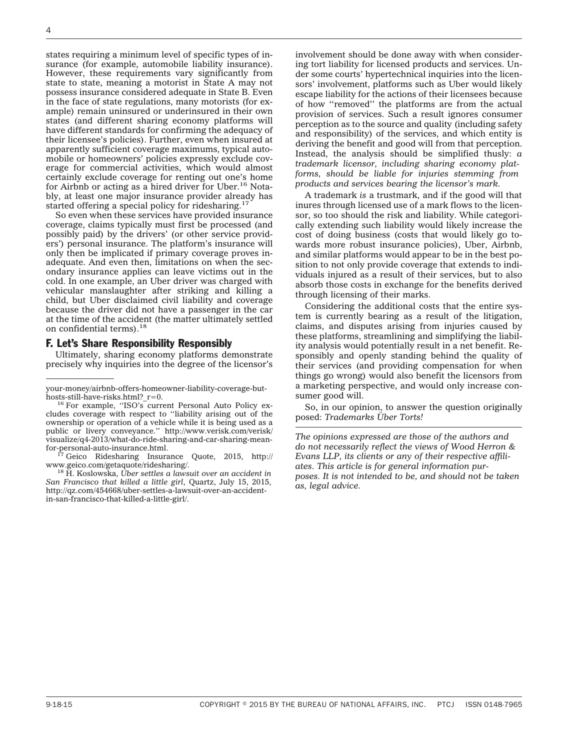states requiring a minimum level of specific types of insurance (for example, automobile liability insurance). However, these requirements vary significantly from state to state, meaning a motorist in State A may not possess insurance considered adequate in State B. Even in the face of state regulations, many motorists (for example) remain uninsured or underinsured in their own states (and different sharing economy platforms will have different standards for confirming the adequacy of their licensee's policies). Further, even when insured at apparently sufficient coverage maximums, typical automobile or homeowners' policies expressly exclude coverage for commercial activities, which would almost certainly exclude coverage for renting out one's home for Airbnb or acting as a hired driver for Uber.16 Notably, at least one major insurance provider already has started offering a special policy for ridesharing.<sup>1</sup>

So even when these services have provided insurance coverage, claims typically must first be processed (and possibly paid) by the drivers' (or other service providers') personal insurance. The platform's insurance will only then be implicated if primary coverage proves inadequate. And even then, limitations on when the secondary insurance applies can leave victims out in the cold. In one example, an Uber driver was charged with vehicular manslaughter after striking and killing a child, but Uber disclaimed civil liability and coverage because the driver did not have a passenger in the car at the time of the accident (the matter ultimately settled on confidential terms).<sup>18</sup>

#### F. Let's Share Responsibility Responsibly

Ultimately, sharing economy platforms demonstrate precisely why inquiries into the degree of the licensor's

<sup>18</sup> H. Koslowska, *Uber settles a lawsuit over an accident in San Francisco that killed a little girl*, Quartz, July 15, 2015, [http://qz.com/454668/uber-settles-a-lawsuit-over-an-accident](http://qz.com/454668/uber-settles-a-lawsuit-over-an-accident-in-san-francisco-that-killed-a-little-girl/)[in-san-francisco-that-killed-a-little-girl/.](http://qz.com/454668/uber-settles-a-lawsuit-over-an-accident-in-san-francisco-that-killed-a-little-girl/)

involvement should be done away with when considering tort liability for licensed products and services. Under some courts' hypertechnical inquiries into the licensors' involvement, platforms such as Uber would likely escape liability for the actions of their licensees because of how ''removed'' the platforms are from the actual provision of services. Such a result ignores consumer perception as to the source and quality (including safety and responsibility) of the services, and which entity is deriving the benefit and good will from that perception. Instead, the analysis should be simplified thusly: *a trademark licensor, including sharing economy platforms, should be liable for injuries stemming from products and services bearing the licensor's mark.*

A trademark *is* a trustmark, and if the good will that inures through licensed use of a mark flows to the licensor, so too should the risk and liability. While categorically extending such liability would likely increase the cost of doing business (costs that would likely go towards more robust insurance policies), Uber, Airbnb, and similar platforms would appear to be in the best position to not only provide coverage that extends to individuals injured as a result of their services, but to also absorb those costs in exchange for the benefits derived through licensing of their marks.

Considering the additional costs that the entire system is currently bearing as a result of the litigation, claims, and disputes arising from injuries caused by these platforms, streamlining and simplifying the liability analysis would potentially result in a net benefit. Responsibly and openly standing behind the quality of their services (and providing compensation for when things go wrong) would also benefit the licensors from a marketing perspective, and would only increase consumer good will.

So, in our opinion, to answer the question originally posed: *Trademarks U¨ ber Torts!*

*The opinions expressed are those of the authors and do not necessarily reflect the views of Wood Herron & Evans LLP, its clients or any of their respective affiliates. This article is for general information purposes. It is not intended to be, and should not be taken as, legal advice.*

[your-money/airbnb-offers-homeowner-liability-coverage-but-](http://www.nytimes.com/2014/12/06/your-money/airbnb-offers-homeowner-liability-coverage-but-hosts-still-have-risks.html?_r=0)

<sup>&</sup>lt;sup>16</sup> For example, "ISO's current Personal Auto Policy excludes coverage with respect to ''liability arising out of the ownership or operation of a vehicle while it is being used as a public or livery conveyance.'' [http://www.verisk.com/verisk/](http://www.verisk.com/verisk/visualize/q4-2013/what-do-ride-sharing-and-car-sharing-mean-for-personal-auto-insurance.html) [visualize/q4-2013/what-do-ride-sharing-and-car-sharing-mean-](http://www.verisk.com/verisk/visualize/q4-2013/what-do-ride-sharing-and-car-sharing-mean-for-personal-auto-insurance.html)

[for-personal-auto-insurance.html.](http://www.verisk.com/verisk/visualize/q4-2013/what-do-ride-sharing-and-car-sharing-mean-for-personal-auto-insurance.html)<br><sup>17</sup> Geico Ridesharing Insurance Quote, 2015, [http://](http://www.geico.com/getaquote/ridesharing/)<br>www.geico.com/getaquote/ridesharing/.